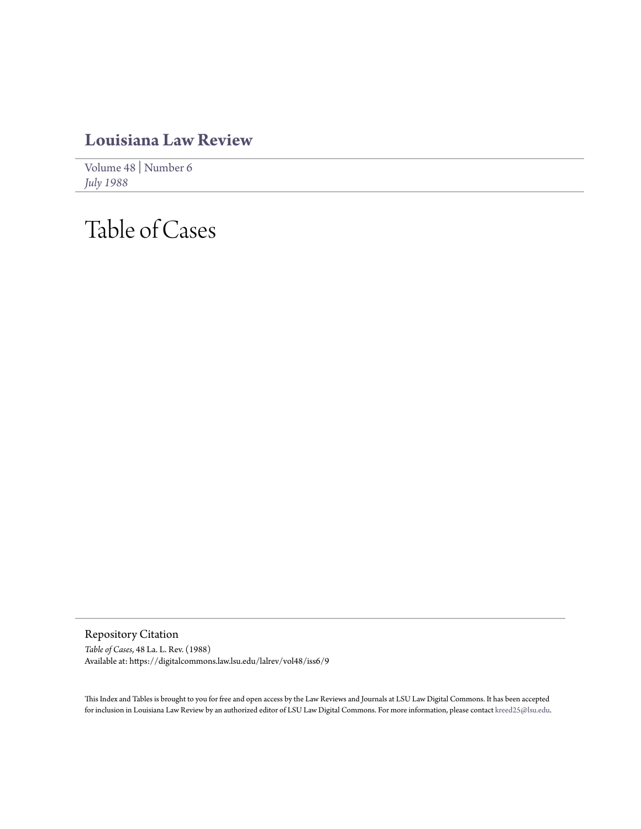## **[Louisiana Law Review](https://digitalcommons.law.lsu.edu/lalrev)**

[Volume 48](https://digitalcommons.law.lsu.edu/lalrev/vol48) | [Number 6](https://digitalcommons.law.lsu.edu/lalrev/vol48/iss6) *[July 1988](https://digitalcommons.law.lsu.edu/lalrev/vol48/iss6)*

## Table of Cases

Repository Citation *Table of Cases*, 48 La. L. Rev. (1988) Available at: https://digitalcommons.law.lsu.edu/lalrev/vol48/iss6/9

This Index and Tables is brought to you for free and open access by the Law Reviews and Journals at LSU Law Digital Commons. It has been accepted for inclusion in Louisiana Law Review by an authorized editor of LSU Law Digital Commons. For more information, please contact [kreed25@lsu.edu](mailto:kreed25@lsu.edu).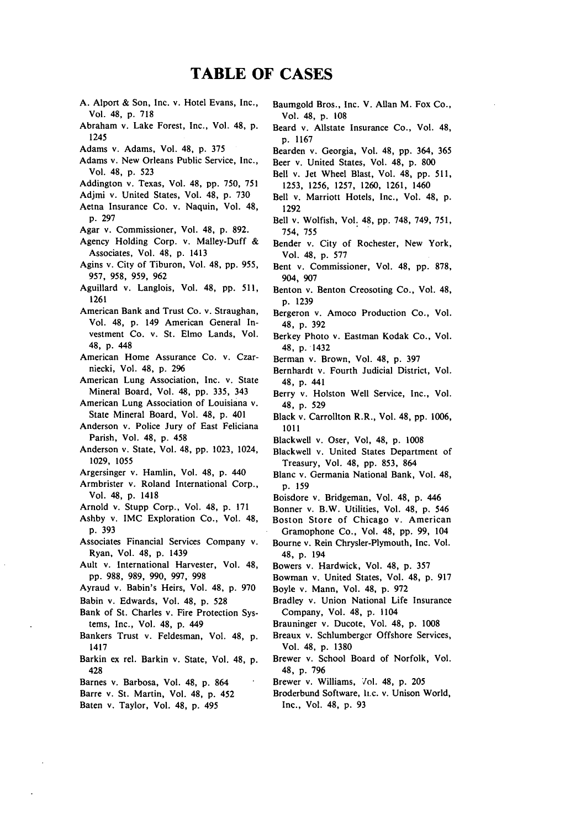## **TABLE OF CASES**

- A. Alport & Son, Inc. v. Hotel Evans, Inc., Vol. 48, p. 718
- Abraham v. Lake Forest, Inc., Vol. 48, p. 1245
- Adams v. Adams, Vol. 48, p. 375
- Adams v. New Orleans Public Service, Inc., Vol. 48, p. 523
- Addington v. Texas, Vol. 48, pp. 750, 751
- Adjmi v. United States, Vol. 48, p. 730
- Aetna Insurance Co. v. Naquin, Vol. 48, p. 297
- Agar v. Commissioner, Vol. 48, p. 892.
- Agency Holding Corp. v. Malley-Duff & Associates, Vol. 48, p. 1413
- Agins v. City of Tiburon, Vol. 48, pp. 955, 957, 958, 959, 962
- Aguillard v. Langlois, Vol. 48, pp. 511, 1261
- American Bank and Trust Co. v. Straughan, Vol. 48, p. 149 American General Investment Co. v. St. Elmo Lands, Vol. 48, p. 448
- American Home Assurance Co. v. Czarniecki, Vol. 48, p. 296
- American Lung Association, Inc. v. State Mineral Board, Vol. 48, pp. 335, 343

American Lung Association of Louisiana v. State Mineral Board, Vol. 48, p. 401

- Anderson v. Police Jury of East Feliciana Parish, Vol. 48, p. 458
- Anderson v. State, Vol. 48, pp. 1023, 1024, 1029, 1055
- Argersinger v. Hamlin, Vol. 48, p. 440
- Armbrister v. Roland International Corp., Vol. 48, p. 1418
- Arnold v. Stupp Corp., Vol. 48, p. 171
- Ashby v. IMC Exploration Co., Vol. 48, p. 393
- Associates Financial Services Company v. Ryan, Vol. 48, p. 1439
- Ault v. International Harvester, Vol. 48, pp. 988, 989, 990, 997, 998
- Ayraud v. Babin's Heirs, Vol. 48, p. 970
- Babin v. Edwards, Vol. 48, p. 528
- Bank of St. Charles v. Fire Protection Systems, Inc., Vol. 48, p. 449
- Bankers Trust v. Feldesman, Vol. 48, p. 1417
- Barkin ex rel. Barkin v. State, Vol. 48, p. 428
- Barnes v. Barbosa, Vol. 48, p. 864
- Barre v. St. Martin, Vol. 48, p. 452
- Baten v. Taylor, Vol. 48, p. 495
- Baumgold Bros., Inc. V. Allan M. Fox Co., Vol. 48, p. 108
- Beard v. Allstate Insurance Co., Vol. 48, p. **1167**
- Bearden v. Georgia, Vol. 48, pp. 364, 365
- Beer v. United States, Vol. 48, p. 800
- Bell v. Jet Wheel Blast, Vol. 48, pp. 511, 1253, 1256, 1257, 1260, 1261, 1460
- Bell v. Marriott Hotels, Inc., Vol. 48, p. 1292
- Bell v. Wolfish, Vol. 48, pp. 748, 749, 751, 754, 755
- Bender v. City of Rochester, New York, Vol. 48, p. 577
- Bent v. Commissioner, Vol. 48, pp. 878, 904, 907
- Benton v. Benton Creosoting Co., Vol. 48, p. 1239
- Bergeron v. Amoco Production Co., Vol. 48, p. 392
- Berkey Photo v. Eastman Kodak Co., Vol. 48, p. 1432
- Berman v. Brown, Vol. 48, p. 397
- Bernhardt v. Fourth Judicial District, Vol. 48, p. 441
- Berry v. Holston Well Service, Inc., Vol. 48, p. 529
- Black v. Carrollton R.R., Vol. 48, pp. 1006, 1011
- Blackwell v. Oser, Vol, 48, p. 1008
- Blackwell v. United States Department of Treasury, Vol. 48, pp. 853, 864
- Blanc v. Germania National Bank, Vol. 48, p. 159
- Boisdore v. Bridgeman, Vol. 48, p. 446
- Bonner v. B.W. Utilities, Vol. 48, p. 546
- Boston Store of Chicago v. American Gramophone Co., Vol. 48, pp. 99, 104
- Bourne v. Rein Chrysler-Plymouth, Inc. Vol. 48, p. 194
- Bowers v. Hardwick, Vol. 48, p. 357
- Bowman v. United States, Vol. 48, p. 917
- Boyle v. Mann, Vol. 48, p. 972
- Bradley v. Union National Life Insurance Company, Vol. 48, p. 1104
- Brauninger v. Ducote, Vol. 48, p. 1008
- Breaux v. Schlumberger Offshore Services, Vol. 48, p. 1380
- Brewer v. School Board of Norfolk, Vol. 48, p. 796
- Brewer v. Williams, 7ol. 48, p. 205
- Broderbund Software, h.c. v. Unison World, Inc., Vol. 48, p. 93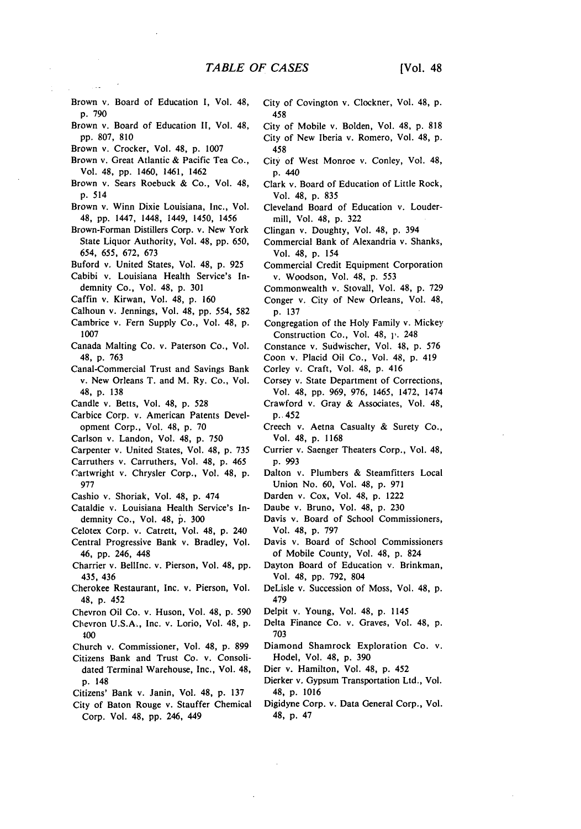- Brown *v,* Board of Education I, Vol. 48, **p.** 790
- Brown v. Board of Education II, Vol. 48, pp. 807, 810
- Brown v. Crocker, Vol. 48, p. 1007
- Brown v. Great Atlantic & Pacific Tea Co., Vol. 48, pp. 1460, 1461, 1462
- Brown v. Sears Roebuck & Co., Vol. 48, p. 514
- Brown v. Winn Dixie Louisiana, Inc., Vol. 48, pp. 1447, 1448, 1449, 1450, 1456
- Brown-Forman Distillers Corp. v. New York State Liquor Authority, Vol. 48, pp. 650, *654, 655,* 672, 673
- Buford v. United States, Vol. 48, p. 925
- Cabibi v. Louisiana Health Service's Indemnity Co., Vol. 48, p. 301
- Caffin v. Kirwan, Vol. 48, p. 160
- Calhoun v. Jennings, Vol. 48, pp. 554, 582
- Cambrice v. Fern Supply Co., Vol. 48, p.
- 1007 Canada Malting Co. v. Paterson Co., Vol. 48, p. 763
- Canal-Commercial Trust and Savings Bank v. New Orleans T. and M. Ry. Co., Vol. 48, p. 138
- Candle v. Betts, Vol. 48, p. 528
- Carbice Corp. v. American Patents Development Corp., Vol. 48, p. 70
- Carlson v. Landon, Vol. 48, p. 750
- Carpenter v. United States, Vol. 48, p. 735
- Carruthers v. Carruthers, Vol. 48, p. 465
- Cartwright v. Chrysler Corp., Vol. 48, p. 977
- Cashio v. Shoriak, Vol. 48, p. 474
- Cataldie v. Louisiana Health Service's Indemnity Co., Vol. 48, p. 300
- Celotex Corp. v. Catrett, Vol. 48, **p.** 240
- Central Progressive Bank v. Bradley, Vol. 46, **pp.** 246, 448
- Charrier v. Belllnc. v. Pierson, Vol. 48, **pp.** 435, 436
- Cherokee Restaurant, Inc. v. Pierson, Vol. 48, **p.** 452
- Chevron Oil Co. v. Huson, Vol. 48, **p.** 590
- Chevron U.S.A., Inc. v. Lorio, Vol. 48, **p. 400**
- Church v. Commissioner, Vol. 48, p. 899
- Citizens Bank and Trust Co. v. Consolidated Terminal Warehouse, Inc., Vol. 48, p. 148
- Citizens' Bank v. Janin, Vol. 48, p. 137
- City of Baton Rouge v. Stauffer Chemical Corp. Vol. 48, **pp.** 246, 449
- City of Covington v. Clockner, Vol. 48, **p.** 458
- City of Mobile v. Bolden, Vol. 48, **p.** 818 City of New Iberia v. Romero, Vol. 48, p. 458
- City of West Monroe v. Conley, Vol. 48, p. 440
- Clark v. Board of Education of Little Rock, Vol. 48, **p.** 835
- Cleveland Board of Education v. Loudermill, Vol. 48, p. 322
- Clingan v. Doughty, Vol. 48, p. 394
- Commercial Bank of Alexandria v. Shanks, Vol. 48, p. 154
- Commercial Credit Equipment Corporation v. Woodson, Vol. 48, p. 553
- Commonwealth v. Stovall, Vol. 48, p. 729 Conger v. City of New Orleans, Vol. 48, p. 137
- Congregation of the Holy Family v. Mickey Construction Co., Vol. 48, **1,.** 248
- Constance v. Sudwischer, Vol. 48, p. 576
- Coon v. Placid Oil Co., Vol. 48, p. 419
- Corley v. Craft, Vol. 48, p. 416
- Corsey v. State Department of Corrections, Vol. 48, pp. 969, 976, 1465, 1472, 1474 Crawford v. Gray & Associates, Vol. 48,
- p.. 452
	- Creech v. Aetna Casualty & Surety Co., Vol. 48, p. 1168
	- Currier v. Saenger Theaters Corp., Vol. 48, p. 993
	- Dalton v. Plumbers & Steamfitters Local Union No. 60, Vol. 48, p. 971
	- Darden v. Cox, Vol. 48, p. 1222
	- Daube v. Bruno, Vol. 48, p. 230
	- Davis v. Board of School Commissioners, Vol. 48, p. 797
	- Davis v. Board of School Commissioners of Mobile County, Vol. 48, p. 824
	- Dayton Board of Education v. Brinkman, Vol. 48, pp. 792, 804
	- DeLisle v. Succession of Moss, Vol. 48, **p.** 479
	- Delpit v. Young, Vol. 48, **p.** 1145
	- Delta Finance Co. v. Graves, Vol. 48, **p. 703**
	- Diamond Shamrock Exploration Co. v. Hodel, Vol. 48, **p. 390**
	- Dier v. Hamilton, Vol. 48, **p.** 452
	- Dierker v. Gypsum Transportation Ltd., Vol. 48, **p. 1016**
	- Digidyne Corp. v. Data General Corp., Vol. 48, **p.** 47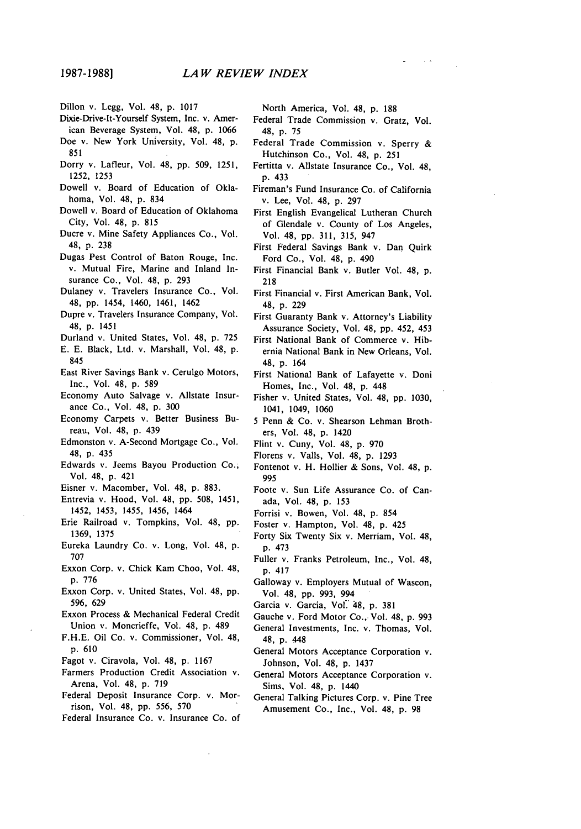- Dixie-Drive-It-Yourself System, Inc. v. American Beverage System, Vol. 48, p. 1066 Doe v. New York University, Vol. 48, p.
- 851
- Dorry v. Lafleur, Vol. 48, pp. 509, **1251, 1252, 1253**
- Dowell v. Board of Education of Oklahoma, Vol. 48, p. 834
- Dowell v. Board of Education of Oklahoma City, Vol. 48, p. 815
- Ducre v. Mine Safety Appliances Co., Vol. 48, p. 238
- Dugas Pest Control of Baton Rouge, Inc. v. Mutual Fire, Marine and Inland Insurance Co., Vol. 48, p. 293
- Dulaney v. Travelers Insurance Co., Vol. 48, pp. 1454, 1460, 1461, 1462
- Dupre v. Travelers Insurance Company, Vol. 48, p. 1451
- Durland v. United States, Vol. 48, p. 725
- E. E. Black, Ltd. v. Marshall, Vol. 48, p. 845
- East River Savings Bank v. Cerulgo Motors, Inc., Vol. 48, p. **589**
- Economy Auto Salvage v. Allstate Insurance Co., Vol. 48, p. **300**
- Economy Carpets v. Better Business Bureau, Vol. 48, p. 439
- Edmonston v. A-Second Mortgage Co., Vol. 48, p. 435
- Edwards v. Jeems Bayou Production Co., Vol. 48, p. 421
- Eisner v. Macomber, Vol. 48, p. 883.
- Entrevia v. Hood, Vol. 48, pp. 508, 1451, 1452, 1453, 1455, 1456, 1464
- Erie Railroad v. Tompkins, Vol. 48, pp. 1369, 1375
- Eureka Laundry Co. v. Long, Vol. 48, p. **707**
- Exxon Corp. v. Chick Kam Choo, Vol. 48, p. 776
- Exxon Corp. v. United States, Vol. 48, pp. 596, 629
- Exxon Process & Mechanical Federal Credit Union v. Moncrieffe, Vol. 48, p. 489
- F.H.E. Oil Co. v. Commissioner, Vol. 48, p. 610
- Fagot v. Ciravola, Vol. 48, p. 1167
- Farmers Production Credit Association v. Arena, Vol. 48, p. 719
- Federal Deposit Insurance Corp. v. Morrison, Vol. 48, pp. 556, 570
- Federal Insurance Co. v. Insurance Co. of

North America, Vol. 48, p. 188

- Federal Trade Commission v. Gratz, Vol. 48, p. 75
- Federal Trade Commission v. Sperry & Hutchinson Co., Vol. 48, p. 251
- Fertitta v. Allstate Insurance Co., Vol. 48, p. 433
- Fireman's Fund Insurance Co. of California v. Lee, Vol. 48, p. 297
- First English Evangelical Lutheran Church of Glendale v. County of Los Angeles, Vol. 48, pp. 311, 315, 947
- First Federal Savings Bank v. Dan Quirk Ford Co., Vol. 48, p. 490
- First Financial Bank v. Butler Vol. 48, p. 218
- First Financial v. First American Bank, Vol. 48, p. 229
- First Guaranty Bank v. Attorney's Liability Assurance Society, Vol. 48, pp. 452, 453
- First National Bank of Commerce v. Hibernia National Bank in New Orleans, Vol. 48, **p.** 164
- First National Bank of Lafayette v. Doni Homes, Inc., Vol. 48, p. 448
- Fisher v. United States, Vol. 48, pp. **1030,** 1041, 1049, **1060**
- 5 Penn & Co. v. Shearson Lehman Brothers, Vol. 48, p. 1420
- Flint v. Cuny, Vol. 48, p. **970**
- Florens v. Valls, Vol. 48, p. 1293
- Fontenot v. H. Hollier & Sons, Vol. 48, p. **995**
- Foote v. Sun Life Assurance Co. of Canada, Vol. 48, p. 153
- Forrisi v. Bowen, Vol. 48, p. 854
- Foster v. Hampton, Vol. 48, p. 425
- Forty Six Twenty Six v. Merriam, Vol. 48, p. 473
- Fuller v. Franks Petroleum, Inc., Vol. 48, p. 417
- Galloway v. Employers Mutual of Wascon, Vol. 48, pp. 993, 994
- Garcia v. Garcia, Vol.' **48,** p. 381
- Gauche v. Ford Motor Co., Vol. 48, p. **993**
- General Investments, Inc. v. Thomas, Vol. 48, **p.** 448
- General Motors Acceptance Corporation v. Johnson, Vol. 48, p. 1437
- General Motors Acceptance Corporation v. Sims, Vol. 48, p. 1440
- General Talking Pictures Corp. v. Pine Tree Amusement Co., Inc., Vol. 48, p. **98**

Dillon v. Legg, Vol. 48, **p.** 1017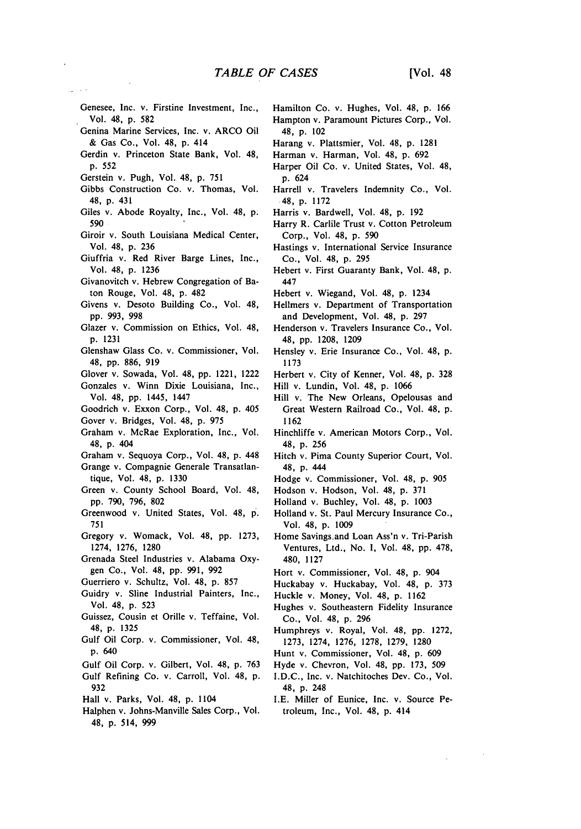- Genesee, Inc. v. Firstine Investment, Inc., Vol. 48, **p. 582**
- Genina Marine Services, Inc. v. ARCO Oil **&** Gas Co., Vol. 48, **p.** 414
- Gerdin v. Princeton State Bank, Vol. 48, **p. 552**
- Gerstein v. Pugh, Vol. 48, p. 751
- Gibbs Construction Co. v. Thomas, Vol. 48, p. 431
- Giles v. Abode Royalty, Inc., Vol. 48, p. 590
- Giroir v. South Louisiana Medical Center, Vol. 48, p. 236
- Giuffria v. Red River Barge Lines, Inc., Vol. 48, p. 1236
- Givanovitch v. Hebrew Congregation of Baton Rouge, Vol. 48, p. 482
- Givens v. Desoto Building Co., Vol. 48, pp. 993, 998
- Glazer v. Commission on Ethics, Vol. 48, p. 1231
- Glenshaw Glass Co. v. Commissioner, Vol. 48, pp. 886, 919
- Glover v. Sowada, Vol. 48, pp. 1221, 1222
- Gonzales v. Winn Dixie Louisiana, Inc., Vol. 48, pp. 1445, 1447
- Goodrich v. Exxon Corp., Vol. 48, p. 405
- Gover v. Bridges, Vol. 48, p. 975
- Graham v. McRae Exploration, Inc., Vol. 48, **p.** 404
- Graham v. Sequoya Corp., Vol. 48, **p.** 448
- Grange v. Compagnie Generale Transatlantique, Vol. 48, **p. 1330**
- Green v. County School Board, Vol. 48, **pp. 790, 796, 802**
- Greenwood v. United States, Vol. 48, **p. 751**
- Gregory v. Womack, Vol. 48, **pp. 1273,** 1274, **1276, 1280**
- Grenada Steel Industries v. Alabama Oxygen Co., Vol. 48, **pp. 991,** 992
- Guerriero v. Schultz, Vol. 48, **p. 857**
- Guidry v. Sline Industrial Painters, Inc., Vol. 48, **p. 523**
- Guissez, Cousin et Orille v. Teffaine, Vol. 48, **p. 1325**
- Gulf Oil Corp. v. Commissioner, Vol. 48, **p.** 640
- Gulf Oil Corp. v. Gilbert, Vol. 48, **p. 763**
- Gulf Refining Co. v. Carroll, Vol. 48, **p. 932**
- Hall v. Parks, Vol. 48, **p.** 1104
- Halphen v. Johns-Manville Sales Corp., Vol. 48, **p.** 514, **999**
- Hamilton Co. v. Hughes, Vol. 48, **p.** 166 Hampton v. Paramount Pictures Corp., Vol. 48, p. 102
- Harang v. Plattsmier, Vol. 48, p. 1281
- Harman v. Harman, Vol. 48, p. 692
- Harper Oil Co. v. United States, Vol. 48, p. 624
- Harrell v. Travelers Indemnity Co., Vol. 48, p. 1172
- Harris v. Bardwell, Vol. 48, p. 192
- Harry R. Carlile Trust v. Cotton Petroleum Corp., Vol. 48, **p. 590**
- Hastings v. International Service Insurance Co., Vol. 48, **p. 295**
- Hebert v. First Guaranty Bank, Vol. 48, **p.** 447
- Hebert v. Wiegand, Vol. 48, **p.** 1234
- Hellmers v. Department of Transportation and Development, Vol. 48, **p. 297**
- Henderson v. Travelers Insurance Co., Vol. 48, **pp. 1208, 1209**
- Hensley v. Erie Insurance Co., Vol. 48, **p. 1173**
- Herbert v. City of Kenner, Vol. 48, **p. 328**
- Hill v. Lundin, Vol. 48, **p. 1066**
- Hill v. The New Orleans, Opelousas and Great Western Railroad Co., Vol. 48, **p. 1162**
- Hinchliffe v. American Motors Corp., Vol. 48, **p. 256**
- Hitch v. Pima County Superior Court, Vol. 48, **p.** 444
- Hodge v. Commissioner, Vol. 48, p. 905
- Hodson v. Hodson, Vol. 48, **p.** 371
- Holland v. Buchley, Vol. 48, **p.** 1003
- Holland v. St. Paul Mercury Insurance Co., Vol. 48, **p.** 1009
- Home Savings.and Loan Ass'n v. Tri-Parish Ventures, Ltd., No. 1, Vol. 48, **pp.** 478, 480, 1127
- Hort v. Commissioner, Vol. 48, p. 904
- Huckabay v. Huckabay, Vol. 48, **p.** 373
	- Huckle v. Money, Vol. 48, p. 1162
	- Hughes v. Southeastern Fidelity Insurance Co., Vol. 48, **p.** 296
	- Humphreys v. Royal, Vol. 48, **pp.** 1272, 1273, 1274, 1276, 1278, 1279, 1280
	- Hunt v. Commissioner, Vol. 48, p. 609
	- Hyde v. Chevron, Vol. 48, **pp.** 173, 509
	- I.D.C., Inc. v. Natchitoches Dev. Co., Vol. 48, **p.** 248
	- I.E. Miller of Eunice, Inc. v. Source Petroleum, Inc., Vol. 48, p. 414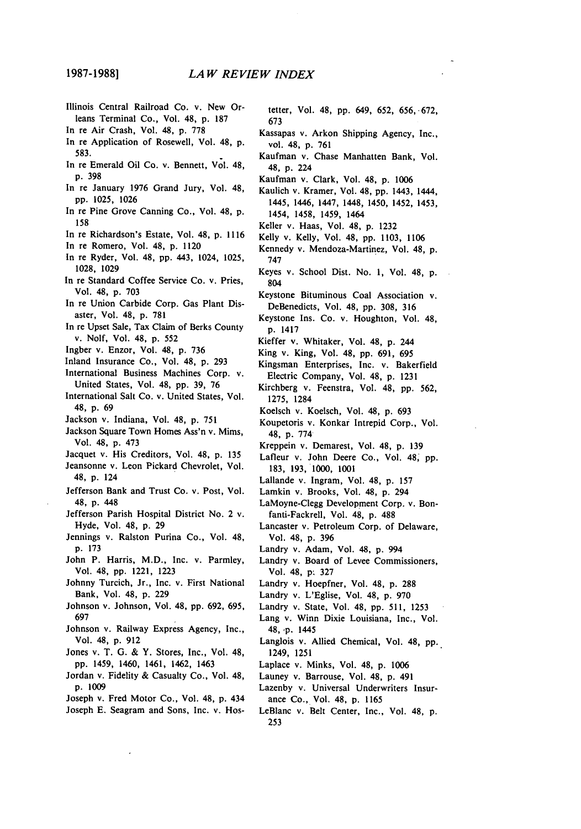**1987-1988]**

- Illinois Central Railroad Co. v. New Orleans Terminal Co., Vol. 48, p. **187**
- In re Air Crash, Vol. 48, p. 778 In re Application of Rosewell, Vol. 48, p. 583.
- In re Emerald Oil Co. v. Bennett, Vol. 48, p. 398
- In re January 1976 Grand Jury, Vol. 48, pp. 1025, 1026
- In re Pine Grove Canning Co., Vol. 48, p. 158
- In re Richardson's Estate, Vol. 48, p. 1116
- In re Romero, Vol. 48, p. 1120
- In re Ryder, Vol. 48, pp. 443, 1024, 1025, 1028, 1029
- In re Standard Coffee Service Co. v. Pries, Vol. 48, p. 703
- In re Union Carbide Corp. Gas Plant Disaster, Vol. 48, p. 781
- In re Upset Sale, Tax Claim of Berks County v. Nolf, Vol. 48, p. 552
- Ingber v. Enzor, Vol. 48, p. 736
- Inland Insurance Co., Vol. 48, p. 293
- International Business Machines Corp. v. United States, Vol. 48, pp. 39, 76
- International Salt Co. v. United States, Vol. 48, p. 69
- Jackson v. Indiana, Vol. 48, p. 751
- Jackson Square Town Homes Ass'n v. Mims, Vol. 48, p. 473
- Jacquet v. His Creditors, Vol. 48, p. 135
- Jeansonne v. Leon Pickard Chevrolet, Vol.
- 48, p. 124 Jefferson Bank and Trust Co. v. Post, Vol. 48, **p.** 448
- Jefferson Parish Hospital District No. 2 v. Hyde, Vol. 48, p. 29
- Jennings v. Ralston Purina Co., Vol. 48, p. 173
- John P. Harris, M.D., Inc. v. Parmley, Vol. 48, **pp.** 1221, 1223
- Johnny Turcich, Jr., Inc. v. First National Bank, Vol. 48, p. 229
- Johnson v. Johnson, Vol. 48, pp. 692, 695, 697
- Johnson v. Railway Express Agency, Inc., Vol. 48, p. 912
- Jones v. T. G. & Y. Stores, Inc., Vol. 48, pp. 1459, 1460, 1461, 1462, 1463
- Jordan v. Fidelity & Casualty Co., Vol. 48, p. 1009

Joseph v. Fred Motor Co., Vol. 48, **p.** 434 Joseph E. Seagram and Sons, Inc. v. Hostetter, Vol. 48, pp. 649, 652, 656, 672, 673

- Kassapas v. Arkon Shipping Agency, Inc., vol. 48, p. 761
- Kaufman v. Chase Manhatten Bank, Vol. 48, p. 224
- Kaufman v. Clark, Vol. 48, p. 1006
- Kaulich v. Kramer, Vol. 48, pp. 1443, 1444, 1445, 1446, 1447, 1448, 1450, 1452, 1453, 1454, 1458, 1459, 1464
- Keller v. Haas, Vol. 48, p. 1232
- Kelly v. Kelly, Vol. 48, pp. 1103, 1106
- Kennedy v. Mendoza-Martinez, Vol. 48, p. 747
- Keyes v. School Dist. No. 1, Vol. 48, p. 804
- Keystone Bituminous Coal Association v. DeBenedicts, Vol. 48, pp. 308, 316
- Keystone Ins. Co. v. Houghton, Vol. 48, p. 1417
- Kieffer v. Whitaker, Vol. 48, p. 244
- King v. King, Vol. 48, pp. 691, 695
- Kingsman Enterprises, Inc. v. Bakerfield Electric Company, Vol. 48, **p.** 1231
- Kirchberg v. Feenstra, Vol. 48, pp. 562, 1275, 1284
- Koelsch v. Koelsch, Vol. 48, p. 693
- Koupetoris v. Konkar Intrepid Corp., Vol. 48, p. 774
- Kreppein v. Demarest, Vol. 48, p. 139
- Lafleur v. John Deere Co., Vol. 48, pp. 183, 193, 1000, 1001
- Lallande v. Ingram, Vol. 48, p. 157
- Lamkin v. Brooks, Vol. 48, p. 294
- LaMoyne-Clegg Development Corp. v. Bonfanti-Fackrell, Vol. 48, p. 488
- Lancaster v. Petroleum Corp. of Delaware, Vol. 48, p. 396
- Landry v. Adam, Vol. 48, p. 994
- Landry v. Board of Levee Commissioners, Vol. 48, **p.** 327
- Landry v. Hoepfner, Vol. 48, p. 288
- Landry v. L'Eglise, Vol. 48, p. 970
- Landry v. State, Vol. 48, pp. 511, 1253
- Lang v. Winn Dixie Louisiana, Inc., Vol. **48, ,p.** 1445
- Langlois v. Allied Chemical, Vol. 48, pp. 1249, 1251
- Laplace v. Minks, Vol. 48, p. 1006
- Launey v. Barrouse, Vol. 48, **p.** 491
- Lazenby v. Universal Underwriters Insurance Co., Vol. 48, **p.** 1165
- LeBlanc v. Belt Center, Inc., Vol. 48, p. 253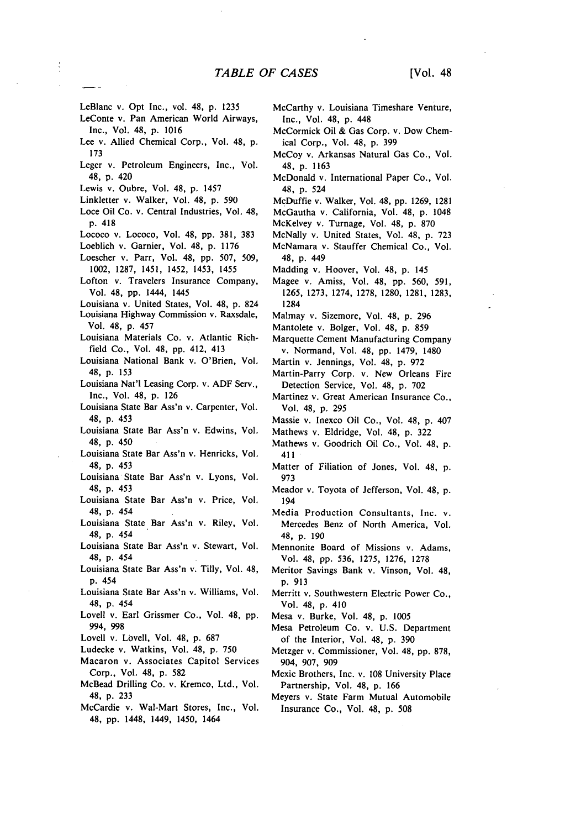- LeBlanc v. Opt Inc., vol. 48, **p.** 1235
- LeConte v. Pan American World Airways, Inc., Vol. 48, p. 1016
- Lee v. Allied Chemical Corp., Vol. 48, p. 173
- Leger v. Petroleum Engineers, Inc., Vol. 48, p. 420
- Lewis v. Oubre, Vol. 48, p. 1457
- Linkletter v. Walker, Vol. 48, p. 590
- Loce Oil Co. v. Central Industries, Vol. 48, p. 418
- Lococo v. Lococo, Vol. 48, pp. 381, 383
- Loeblich v. Garnier, Vol. 48, p. 1176
- Loescher v. Parr, Vol- 48, pp. 507, 509, 1002, 1287, 1451, 1452, 1453, 1455
- Lofton v. Travelers Insurance Company, Vol. 48, **pp.** 1444, 1445
- Louisiana v. United States, Vol. 48, p. 824
- Louisiana Highway Commission v. Raxsdale, Vol. 48, p. 457
- Louisiana Materials Co. v. Atlantic Richfield Co., Vol. 48, pp. 412, 413
- Louisiana National Bank v. O'Brien, Vol. 48, p. 153
- Louisiana Nat'l Leasing Corp. v. ADF Serv., Inc., Vol. 48, p. 126
- Louisiana State Bar Ass'n v. Carpenter, Vol. 48, **p.** 453
- Louisiana State Bar Ass'n v. Edwins, Vol. 48, p. 450
- Louisiana State Bar Ass'n v. Henricks, Vol. 48, p. 453
- Louisiana State Bar Ass'n v. Lyons, Vol. 48, p. 453
- Louisiana State Bar Ass'n v. Price, Vol. 48, **p.** 454
- Louisiana State Bar Ass'n v. Riley, Vol. 48, **p.** 454
- Louisiana State Bar Ass'n v. Stewart, Vol. 48, **p.** 454
- Louisiana State Bar Ass'n v. Tilly, Vol. 48, p. 454
- Louisiana State Bar Ass'n v. Williams, Vol. 48, **p.** 454
- Lovell v. Earl Grissmer Co., Vol. 48, pp. 994, 998
- Lovell v. Lovell, Vol. 48, p. 687
- Ludecke v. Watkins, Vol. 48, p. 750
- Macaron v. Associates Capitol Services Corp., Vol. 48, p. 582
- McBead Drilling Co. v. Kremco, Ltd., Vol. 48, p. **233**
- McCardie v. Wal-Mart Stores, Inc., Vol. 48, pp. 1448, 1449, 1450, 1464
- McCarthy v. Louisiana Timeshare Venture, Inc., Vol. 48, p. 448
- McCormick Oil & Gas Corp. v. Dow Chemical Corp., Vol. 48, p. 399
- McCoy v. Arkansas Natural Gas Co., Vol. 48, p. 1163
- McDonald v. International Paper Co., Vol. 48, p. 524
- McDuffie v. Walker, Vol. 48, pp. 1269, 1281
- McGautha v. California, Vol. 48, p. 1048
- McKelvey v. Turnage, Vol. 48, p. 870 McNally v. United States, Vol. 48, p. 723
- McNamara v. Stauffer Chemical Co., Vol. 48, p. 449
- Madding v. Hoover, Vol. 48, p. 145
- Magee v. Amiss, Vol. 48, pp. 560, 591, 1265, 1273, 1274, 1278, 1280, 1281, 1283, 1284
- Malmay v. Sizemore, Vol. 48, p. 296
- Mantolete v. Bolger, Vol. 48, p. 859
- Marquette Cement Manufacturing Company v. Normand, Vol. 48, pp. 1479, 1480
- Martin v. Jennings, Vol. 48, p. 972
- Martin-Parry Corp. v. New Orleans Fire Detection Service, Vol. 48, p. 702
- Martinez v. Great American Insurance Co., Vol. 48, p. 295
- Massie v. Inexco Oil Co., Vol. 48, p. 407
- Mathews v. Eldridge, Vol. 48, p. 322
- Mathews v. Goodrich Oil Co., Vol. 48, p. 411
- Matter of Filiation of Jones, Vol. 48, p. 973
- Meador v. Toyota of Jefferson, Vol. 48, p. 194
- Media Production Consultants, Inc. v. Mercedes Benz of North America, Vol. 48, p. 190
- Mennonite Board of Missions v. Adams, Vol. 48, pp. 536, 1275, 1276, 1278
- Meritor Savings Bank v. Vinson, Vol. 48, p. 913
- Merritt v. Southwestern Electric Power Co., Vol. 48, p. 410
- Mesa v. Burke, Vol. 48, p. 1005
- Mesa Petroleum Co. v. U.S. Department of the Interior, Vol. 48, p. 390
- Metzger v. Commissioner, Vol. 48, pp. 878, 904, 907, 909
- Mexic Brothers, Inc. v. 108 University Place Partnership, Vol. 48, p. 166
- Meyers v. State Farm Mutual Automobile Insurance Co., Vol. 48, p. 508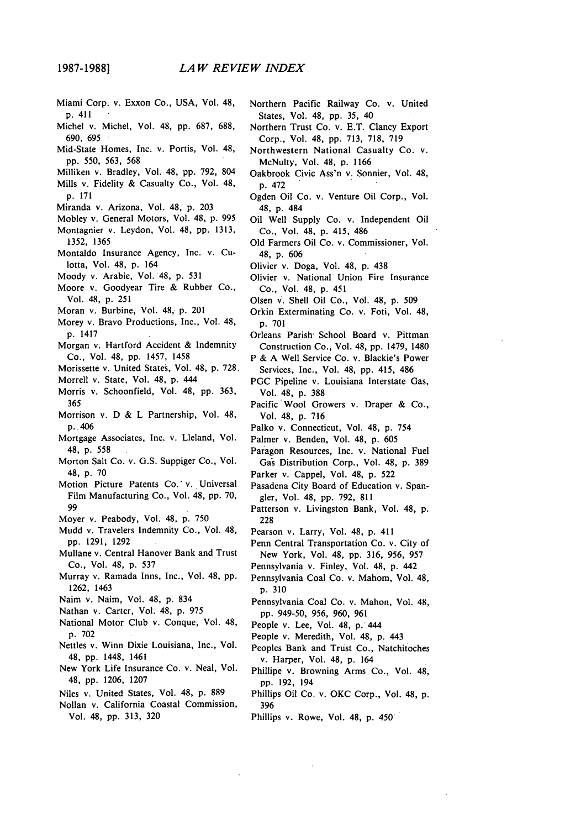- Miami Corp. v. Exxon Co., USA, Vol. 48, p. 411
- Michel v. Michel, Vol. 48, pp. 687, 688, 690, 695
- Mid-State Homes, Inc. v. Portis, Vol. 48, pp. 550, 563, 568
- Milliken v. Bradley, Vol. 48, pp. 792, 804
- Mills v. Fidelity & Casualty Co., Vol. 48, p. 171
- Miranda v. Arizona, Vol. 48, p. 203
- Mobley v. General Motors, Vol. 48, p. 995 Montagnier v. Leydon, Vol. 48, pp. 1313, 1352, 1365
- Montaldo Insurance Agency, Inc. v. Culotta, Vol. 48, p. 164
- Moody v. Arabie, Vol. 48, p. 531
- Moore v. Goodyear Tire & Rubber Co., Vol. 48, p. 251
- Moran v. Burbine, Vol. 48, p. 201
- Morey v. Bravo Productions, Inc., Vol. 48, p. 1417
- Morgan v. Hartford Accident & Indemnity Co., Vol. 48, pp. 1457, 1458
- Morissette v. United States, Vol. 48, p. **728.**
- Morrell v. State, Vol. 48, **p.** 444
- Morris v. Schoonfield, Vol. 48, **pp.** 363, 365
- Morrison v. D & L Partnership, Vol. 48, p. 406
- Mortgage Associates, Inc. v. Lleland, Vol. 48, p. 558
- Morton Salt Co. v. G.S. Suppiger Co., Vol. 48, p. **70**
- Motion Picture Patents Co.' v. Universal Film Manufacturing Co., Vol. 48, pp. 70, 99
- Moyer v. Peabody, Vol. 48, p. 750
- Mudd v. Travelers Indemnity Co., Vol. 48, pp. 1291, 1292
- Mullane v. Central Hanover Bank and Trust Co., Vol. 48, p. 537
- Murray v. Ramada Inns, Inc., Vol. 48, pp. 1262, 1463
- Naim v. Naim, Vol. 48, p. 834
- Nathan v. Carter, Vol. 48, p. 975
- National Motor Club v. Conque, Vol. 48, p. 702
- Nettles v. Winn Dixie Louisiana, Inc., Vol. 48, **pp.** 1448, 1461
- New York Life Insurance Co. v. Neal, Vol. 48, pp. 1206, 1207
- Niles v. United States, Vol. 48, p. 889
- Nollan v. California Coastal Commission, Vol. 48, pp. 313, **320**
- Northern Pacific Railway Co. v. United States, Vol. 48, pp. 35, 40
- Northern Trust Co. v. E.T. Clancy Export Corp., Vol. 48, pp. 713, 718, 719
- Northwestern National Casualty Co. v. McNulty, Vol. 48, p. 1166
- Oakbrook Civic Ass'n v. Sonnier, Vol. 48, p. 472
- Ogden Oil Co. v. Venture Oil Corp., Vol. 48, p. 484
- Oil Well Supply Co. v. Independent Oil Co., Vol. 48, p. 415, 486
- Old Farmers Oil Co. v. Commissioner, Vol. 48, p. 606
- Olivier v. Doga, Vol. 48, p. 438
- Olivier v. National Union Fire Insurance Co., Vol. 48, p. 451
- Olsen v. Shell Oil Co., Vol. 48, p. 509
- Orkin Exterminating Co. v. Foti, Vol. 48, p. 701
- Orleans Parish- School Board v. Pittman Construction Co., Vol. 48, pp. 1479, 1480
- P & A Well Service Co. v. Blackie's Power Services, Inc., Vol. 48, pp. 415, 486
- PGC Pipeline v. Louisiana Interstate Gas, Vol. 48, p. 388
- Pacific Wool Growers v. Draper & Co., Vol. 48, p. 716
- Palko v. Connecticut, Vol. 48, p. 754
- Palmer v. Benden, Vol. 48, p. 605
- Paragon Resources, Inc. v. National Fuel Gas Distribution Corp., Vol. 48, p. 389
- Parker v. Cappel, Vol. 48, p. 522
- Pasadena City Board of Education v. Spangler, Vol. 48, pp. 792, 811
- Patterson v. Livingston Bank, Vol. 48, p. 228
- Pearson v. Larry, Vol. 48, p. 411
- Penn Central Transportation Co. v. City of New York, Vol. 48, pp. 316, 956, 957
- Pennsylvania v. Finley, Vol. 48, p. 442
- Pennsylvania Coal Co. v. Mahom, Vol. 48, p. 310
- Pennsylvania Coal Co. v. Mahon, Vol. 48, pp. 949-50, 956, 960, 961
- People v. Lee, Vol. 48, p. 444
- People v. Meredith, Vol. 48, p. 443
- Peoples Bank and Trust Co., Natchitoches v. Harper, Vol. 48, p. 164
- Phillipe v. Browning Arms Co., Vol. 48, pp. 192, 194
- Phillips Oil Co. v. OKC Corp., Vol. 48, p. 396
- Phillips v. Rowe, Vol. 48, p. 450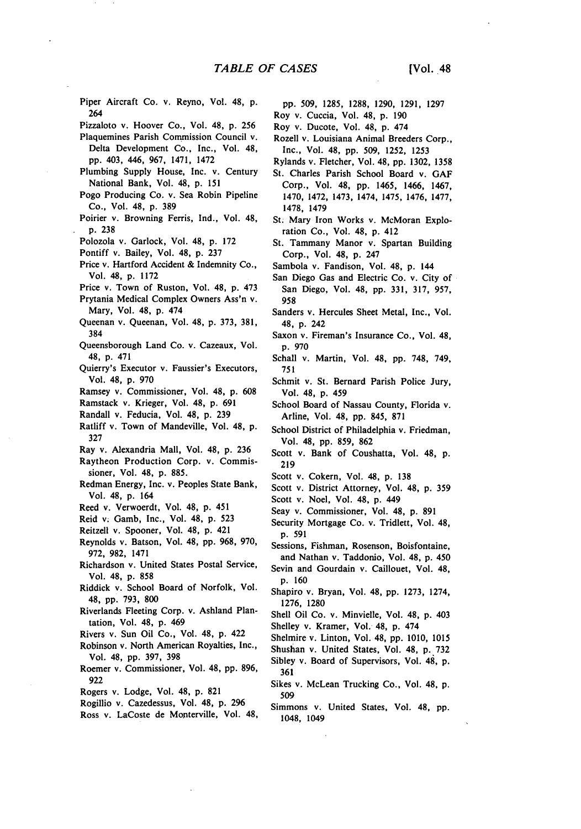- Piper Aircraft Co. v. Reyno, Vol. 48, **p.** 264
- Pizzaloto v. Hoover Co., Vol. 48, **p.** 256
- Plaquemines Parish Commission Council v. Delta Development Co., Inc., Vol. 48, pp. 403, 446, 967, 1471, 1472
- Plumbing Supply House, Inc. v. Century National Bank, Vol. 48, p. 151
- Pogo Producing Co. v. Sea Robin Pipeline Co., Vol. 48, p. 389
- Poirier v. Browning Ferris, Ind., Vol. 48, p. **238**
- Polozola v. Garlock, Vol. 48, p. 172
- Pontiff v. Bailey, Vol. 48, p. 237
- Price v. Hartford Accident & Indemnity Co., Vol. 48, p. 1172
- Price v. Town of Ruston, Vol. 48, p. 473
- Prytania Medical Complex Owners Ass'n v. Mary, Vol. 48, **p.** 474
- Queenan v. Queenan, Vol. 48, p. 373, **381,** 384
- Queensborough Land Co. v. Cazeaux, Vol. 48, p. 471
- Quierry's Executor v. Faussier's Executors, Vol. 48, p. 970
- Ramsey v. Commissioner, Vol. 48, p. 608
- Ramstack v. Krieger, Vol. 48, p. 691
- Randall v. Feducia, Vol. 48, p. 239
- Ratliff v. Town of Mandeville, Vol. 48, p. **327**
- Ray v. Alexandria Mall, Vol. 48, p. 236
- Raytheon Production Corp. v. Commissioner, Vol. 48, p. 885.
- Redman Energy, Inc. v. Peoples State Bank, Vol. 48, p. 164
- Reed v. Verwoerdt, Vol. 48, p. 451
- Reid v. Gamb, Inc., Vol. 48, p. 523
- Reitzell v. Spooner, Vol. 48, p. 421
- Reynolds v. Batson, Vol. 48, pp. 968, 970, 972, 982, 1471
- Richardson v. United States Postal Service, Vol. 48, **p. 858**
- Riddick v. School Board of Norfolk, Vol. 48, **pp. 793, 800**
- Riverlands Fleeting Corp. v. Ashland Plantation, Vol. 48, **p.** 469
- Rivers v. Sun Oil Co., Vol. 48, **p.** 422
- Robinson v. North American Royalties, Inc., Vol. 48, **pp. 397, 398**
- Roemer v. Commissioner, Vol. 48, **pp. 896, 922**
- Rogers v. Lodge, Vol. 48, **p. 821**
- Rogillio v. Cazedessus, Vol. 48, **p. 296**
- Ross v. LaCoste de Monterville, Vol. 48,
- **pp. 509, 1285, 1288, 1290, 1291, 1297**
- Roy v. Cuccia, Vol. 48, **p. 190**
- Roy v. Ducote, Vol. 48, p. 474
- Rozell v. Louisiana Animal Breeders Corp., Inc., Vol. 48, pp. 509, 1252, 1253
- Rylands v. Fletcher, Vol. 48, pp. 1302, 1358
- St. Charles Parish School Board v. **GAF** Corp., Vol. 48, pp. 1465, 1466, 1467, 1470, 1472, 1473, 1474, 1475, 1476, 1477, 1478, 1479
- St. Mary Iron Works v. McMoran Exploration Co., Vol. 48, p. 412
- St. Tammany Manor v. Spartan Building Corp., Vol. 48, p. 247
- Sambola v. Fandison, Vol. 48, p. 144
- San Diego Gas and Electric Co. v. City of San Diego, Vol. 48, pp. 331, 317, 957, **958**
- Sanders v. Hercules Sheet Metal, Inc., Vol. 48, p. 242
- Saxon v. Fireman's Insurance Co., Vol. 48, p. 970
- Schall v. Martin, Vol. 48, **pp. 748,** 749, **751**
- Schmit v. St. Bernard Parish Police Jury, Vol. 48, **p.** 459
- School Board of Nassau County, Florida v. Arline, Vol. 48, **pp.** 845, **871**
- School District of Philadelphia v. Friedman, Vol. 48, **pp. 859, 862**
- Scott v. Bank of Coushatta, Vol. 48, **p. 219**
- Scott v. Cokern, Vol. 48, **p. 138**
- Scott v. District Attorney, Vol. 48, **p. 359**
- Scott v. Noel, Vol. 48, **p.** 449
- Seay v. Commissioner, Vol. 48, **p. 891**
- Security Mortgage Co. v. Tridlett, Vol. 48, **p. 591**
- Sessions, Fishman, Rosenson, Boisfontaine, and Nathan v. Taddonio, Vol. 48, **p.** 450
- Sevin and Gourdain v. Caillouet, Vol. 48, p. 160
- Shapiro v. Bryan, Vol. 48, pp. 1273, 1274, 1276, 1280
- Shell Oil Co. v. Minvielle, Vol. 48, p. 403 Shelley v. Kramer, Vol. 48, p. 474
- Shelmire v. Linton, Vol. 48, pp. 1010, 1015
- Shushan v. United States, Vol. 48, p. 732
- Sibley v. Board of Supervisors, Vol. 48, p. 361
- Sikes v. McLean Trucking Co., Vol. 48, p. 509
- Simmons v. United States, Vol. 48, **pp.** 1048, 1049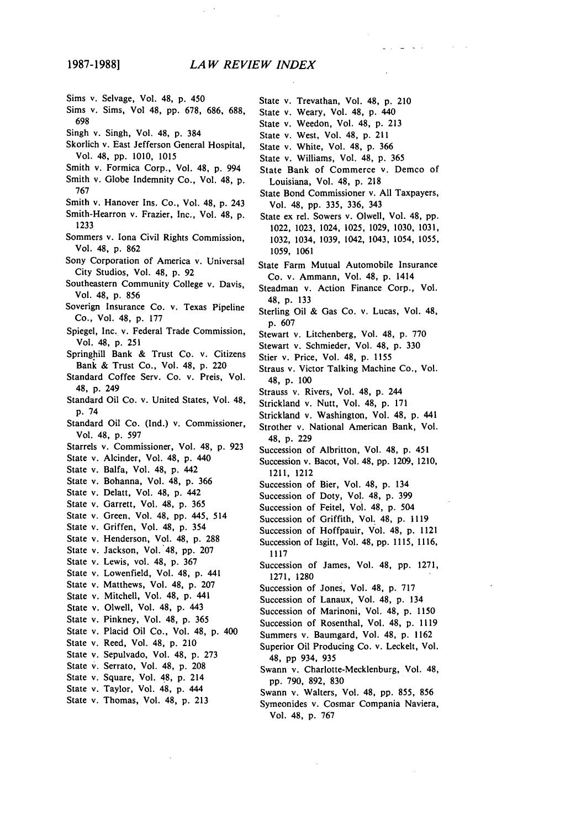- Sims v. Selvage, Vol. 48, **p.** 450
- Sims v. Sims, Vol 48, pp. 678, 686, 688, 698
- Singh v. Singh, Vol. 48, p. 384
- Skorlich v. East Jefferson General Hospital, Vol. 48, pp. 1010, 1015
- Smith v. Formica Corp., Vol. 48, **p.** 994
- Smith v. Globe Indemnity Co., Vol. 48, p. 767
- Smith v. Hanover Ins. Co., Vol. 48, p. 243
- Smith-Hearron v. Frazier, Inc., Vol. 48, **p. 1233**
- Sommers v. Iona Civil Rights Commission, Vol. 48, **p. 862**
- Sony Corporation of America v. Universal City Studios, Vol. 48, **p. 92**
- Southeastern Community College v. Davis, Vol. 48, **p.** 856
- Soverign Insurance Co. v. Texas Pipeline Co., Vol. 48, p. 177
- Spiegel, Inc. v. Federal Trade Commission, Vol. 48, p. 251
- Springhill Bank & Trust Co. v. Citizens Bank & Trust Co., Vol. 48, p. 220
- Standard Coffee Serv. Co. v. Preis, Vol. 48, p. 249
- Standard Oil Co. v. United States, Vol. 48, p. 74
- Standard Oil Co. (Ind.) v. Commissioner, Vol. 48, p. 597
- Starrels v. Commissioner, Vol. 48, p. 923
- State v. Alcinder, Vol. 48, **p.** 440
- State v. Balfa, Vol. 48, p. 442
- State v. Bohanna, Vol. 48, p. 366
- State v. Delatt, Vol. 48, p. 442
- State v. Garrett, Vol. 48, p. 365
- State v. Green, Vol. 48, pp. 445, 514
- State v. Griffen, Vol. 48, p. 354
- State v. Henderson, Vol. 48, p. 288
- State v. Jackson, Vol. 48, pp. 207
- State v. Lewis, vol. 48, p. 367
- State v. Lowenfield, Vol. 48, p. 441
- State v. Matthews, Vol. 48, p. 207
- State v. Mitchell, Vol. 48, p. 441
- State v. Olwell, Vol. 48, p. 443
- State v. Pinkney, Vol. 48, p. 365
- State v. Placid Oil Co., Vol. 48, p. 400
- State v. Reed, Vol. 48, p. 210
- State v. Sepulvado, Vol. 48, p. 273
- State v. Serrato, Vol. 48, p. 208
- State v. Square, Vol. 48, p. 214
- State v. Taylor, Vol. **48, p.** 444
- State v. Thomas, Vol. 48, p. 213
- State v. Trevathan, Vol. 48, p. 210
- State v. Weary, Vol. 48, p. 440
- State v. Weedon, Vol. 48, p. 213
- State v. West, Vol. 48, p. 211
- State v. White, Vol. 48, p. 366
- State v. Williams, Vol. 48, p. 365
- State Bank of Commerce v. Demco of Louisiana, Vol. **48, p. 218**
- State Bond Commissioner v. **All** Taxpayers, Vol. 48, **pp. 335, 336,** 343
- State **ex** rel. Sowers v. Olwell, Vol. 48, **pp.** 1022, **1023,** 1024, **1025, 1029, 1030, 1031, 1032,** 1034, **1039,** 1042, 1043, 1054, **1055, 1059, 1061**
- State Farm Mutual Automobile Insurance Co. v. Ammann, Vol. 48, **p.** 1414
- Steadman v. Action Finance Corp., Vol. 48, **p. 133**
- Sterling Oil **&** Gas Co. v. Lucas, Vol. 48, **p. 607**
- Stewart v. Litchenberg, Vol. 48, **p. 770**
- Stewart v. Schmieder, Vol. 48, **p. 330**
- Stier v. Price, Vol. 48, **p. 1155**
- Straus v. Victor Talking Machine Co., Vol. **48, p. 100**
- Strauss v. Rivers, Vol. 48, **p.** 244
- Strickland v. Nutt, Vol. 48, **p. 171**
- Strickland v. Washington, Vol. 48, **p.** 441
- Strother v. National American Bank, Vol. 48, **p. 229**
- Succession of Albritton, Vol. 48, **p.** 451
- Succession v. Bacot, Vol. 48, **pp. 1209,** 1210, 1211, 1212
- Succession of Bier, Vol. 48, **p.** 134
- Succession of Doty, Vol. 48, **p. 399**
- Succession of Feitel, Vol. 48, **p.** 504
- Succession of Griffith, Vol. 48, **p. 1119**
- Succession of Hoffpauir, Vol. 48, **p.** 1121 Succession of Isgitt, Vol. 48, **pp. 1115, 1116, 1117**
- Succession of James, Vol. 48, **pp. 1271, 1271, 1280**
- Succession of Jones, Vol. 48, **p. 717**
- Succession of Lanaux, Vol. 48, **p.** 134
- Succession of Marinoni, Vol. 48, **p. 1150**
- Succession of Rosenthal, Vol. 48, **p. 1119**
- Summers v. Baumgard, Vol. 48, **p. 1162**
- Superior Oil Producing Co. v. Leckelt, Vol. 48, **pp** 934, **935**
- Swann v. Charlotte-Mecklenburg, Vol. 48, **pp. 790, 892, 830**
- Swann v. Walters, Vol. 48, **pp. 855, 856**
- Symeonides v. Cosmar Compania Naviera, Vol. 48, **p. 767**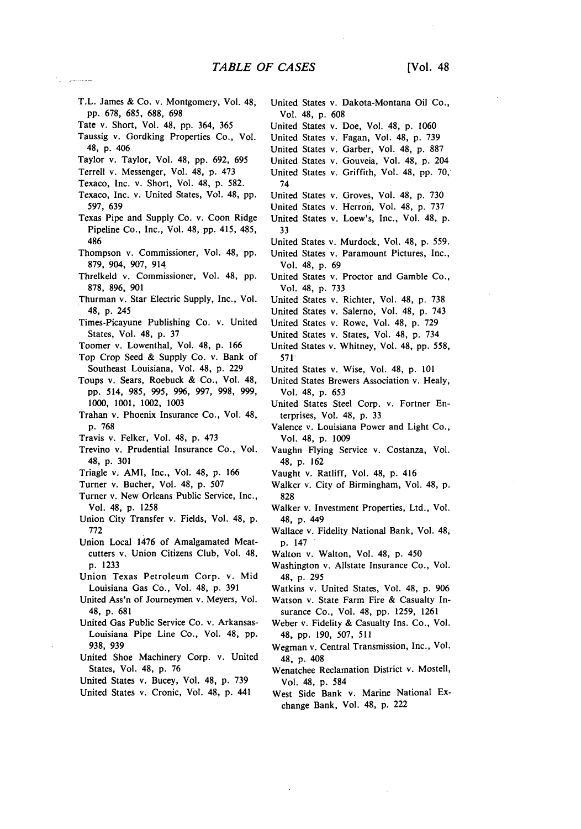- T.L. James & Co. v. Montgomery, Vol. 48, **pp.** 678, 685, 688, 698
- Tate v. Short, Vol. 48, **pp.** 364, 365
- Taussig v. Gordking Properties Co., Vol. 48, p. 406
- Taylor v. Taylor, Vol. 48, **pp.** 692, 695
- Terrell v. Messenger, Vol. 48, **p.** 473
- Texaco, Inc. v. Short, Vol. 48, p. 582.
- Texaco, Inc. v. United States, Vol. 48, pp. 597, 639
- Texas Pipe and Supply Co. v. Coon Ridge Pipeline Co., Inc., Vol. 48, **pp.** 415, 485, 486
- Thompson v. Commissioner, Vol. 48, pp. 879, 904, 907, 914.
- Threlkeld v. Commissioner, Vol. 48, **pp.** 878, 896, 901
- Thurman v. Star Electric Supply, Inc., Vol. 48, p. 245
- Times-Picayune Publishing Co. v. United States, Vol. 48, p. 37
- Toomer v. Lowenthal, Vol. 48, p. 166
- Top Crop Seed & Supply Co. v. Bank of Southeast Louisiana, Vol. 48, **p.** 229
- Toups v. Sears, Roebuck & Co., Vol. 48, **pp.** 514, 985, 995, 996, 997, 998, 999, 1000, 1001, 1002, 1003
- Trahan v. Phoenix Insurance Co., Vol. 48, p. 768
- Travis v. Felker, Vol. 48, p. 473
- Trevino v. Prudential Insurance Co., Vol. 48, p. 301
- Triagle v. AMI, Inc., Vol. 48, p. 166
- Turner v. Bucher, Vol. 48, p. 507
- Turner v. New Orleans Public Service, Inc., Vol. 48, p. 1258
- Union City Transfer v. Fields, Vol. 48, **p.** 772
- Union Local 1476 of Amalgamated Meatcutters v. Union Citizens Club, Vol. 48, **p.** 1233
- Union Texas Petroleum Corp. v. Mid Louisiana Gas Co., Vol. 48, p. 391
- United Ass'n of Journeymen v. Meyers, Vol. 48, p. 681
- United Gas Public Service Co. v. Arkansas-Louisiana Pipe Line Co., Vol. 48, pp. 938, 939
- United Shoe Machinery Corp. v. United States, Vol. 48, p. 76
- United States v. Bucey, Vol. 48, p. 739
- United States v. Cronic, Vol. 48, p. 441
- United States v. Dakota-Montana Oil Co., Vol. 48, **p.** 608 United States v. Doe, Vol. 48, **p.** 1060 United States v. Fagan, Vol. 48, p. 739
- United States v. Garber, Vol. 48, p. 887
- United States v. Gouveia, Vol. 48, p. 204
- United States v. Griffith, Vol. 48, pp. 70, 74
- United States v. Groves, Vol. 48, p. 730
- United States v. Herron, Vol. 48, p. 737
- United States v. Loew's, Inc., Vol. 48, p. 33
- United States v. Murdock, Vol. 48, p. 559.
- United States v. Paramount Pictures, Inc., Vol. 48, p. 69
- United States v. Proctor and Gamble Co., Vol. 48, p. 733
- United States v. Richter, Vol. 48, p. 738
- United States v. Salerno, Vol. 48, p. 743
- United States v. Rowe, Vol. 48, p. 729
- United States v. States, Vol. 48, p. 734
- United States v. Whitney, Vol. 48, pp. 558, 571
- United States v. Wise, Vol. 48, p. 101
- United States Brewers Association v. Healy, Vol. 48, p. 653
- United States Steel Corp. v. Fortner Enterprises, Vol. 48, p. 33
- Valence v. Louisiana Power and Light Co., Vol. 48, p. 1009
- Vaughn Flying Service v. Costanza, Vol. 48, p. 162
- Vaught v. Ratliff, Vol. 48, p. 416
- Walker v. City of Birmingham, Vol. 48, p. 828
- Walker v. Investment Properties, Ltd., Vol. 48, p. 449
- Wallace v. Fidelity National Bank, Vol. 48, p. 147
- Walton v. Walton, Vol. 48, p. 450
- Washington v. Allstate Insurance Co., Vol. 48, p. 295
- Watkins v. United States, Vol. 48, p. 906
- Watson v. State Farm Fire & Casualty Insurance Co., Vol. 48, pp. 1259, 1261
	- Weber v. Fidelity & Casualty Ins. Co., Vol. 48, pp. 190, 507, 511
	- Wegman v. Central Transmission, Inc., Vol. 48, p. 408
	- Wenatchee Reclamation District v. Mostell, Vol. 48, p. 584
	- West Side Bank v. Marine National Exchange Bank, Vol. 48, **p.** 222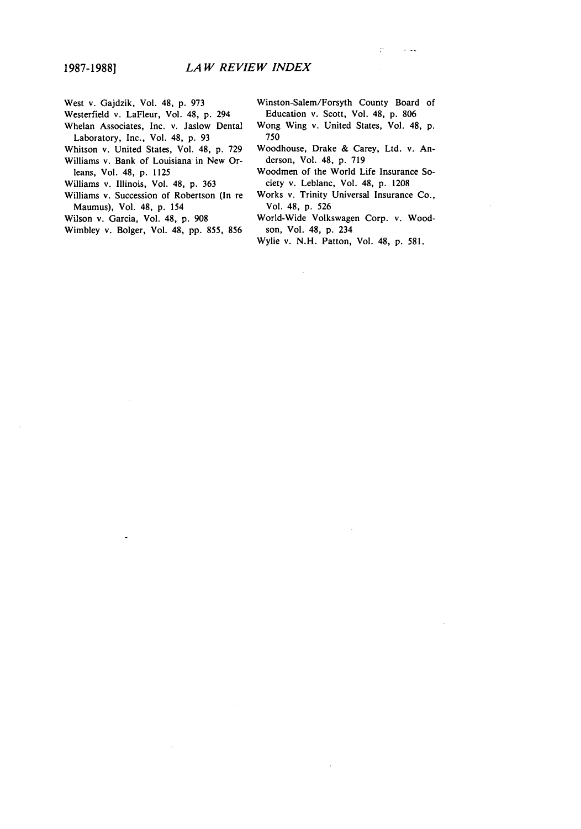- West v. Gajdzik, Vol. 48, p. **973**
- Westerfield v. LaFleur, Vol. 48, p. 294 Whelan Associates, Inc. v. Jaslow Dental
- Laboratory, Inc., Vol. 48, p. **93**
- Whitson v. United States, Vol. 48, p. **729** Williams v. Bank of Louisiana in New Orleans, Vol. 48, p. 1125
- Williams v. Illinois, Vol. 48, p. 363
- Williams v. Succession of Robertson (In re
- Maumus), Vol. 48, p. 154
- Wilson v. Garcia, Vol. 48, p. **908**
- Wimbley v. Bolger, Vol. 48, pp. 855, 856

Winston-Salem/Forsyth County Board of Education v. Scott, Vol. 48, **p. 806**

- Wong Wing v. United States, Vol. 48, p. 750
- Woodhouse, Drake & Carey, Ltd. v. Anderson, Vol. 48, p. 719
- Woodmen of the World Life Insurance Society v. Leblanc, Vol. 48, p. 1208
- Works v. Trinity Universal Insurance Co., Vol. 48, p. 526
- World-Wide Volkswagen Corp. v. Woodson, Vol. 48, p. 234
- Wylie v. N.H. Patton, Vol. 48, p. 581.

à.